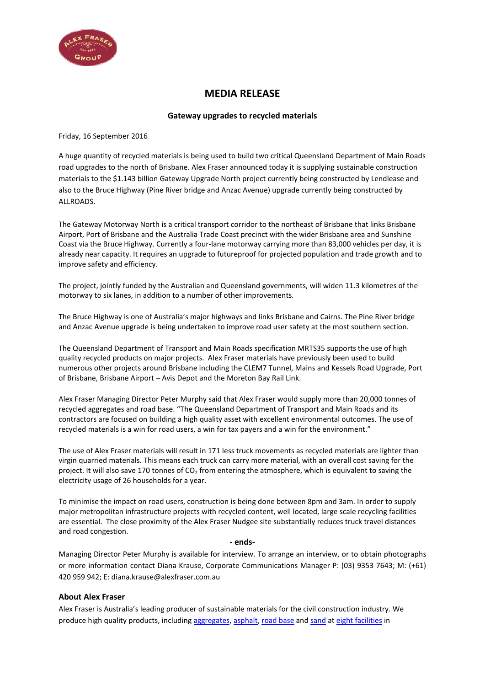

## **MEDIA RELEASE**

## **Gateway upgrades to recycled materials**

Friday, 16 September 2016

A huge quantity of recycled materials is being used to build two critical Queensland Department of Main Roads road upgrades to the north of Brisbane. Alex Fraser announced today it is supplying sustainable construction materials to the \$1.143 billion Gateway Upgrade North project currently being constructed by Lendlease and also to the Bruce Highway (Pine River bridge and Anzac Avenue) upgrade currently being constructed by ALLROADS.

The Gateway Motorway North is a critical transport corridor to the northeast of Brisbane that links Brisbane Airport, Port of Brisbane and the Australia Trade Coast precinct with the wider Brisbane area and Sunshine Coast via the Bruce Highway. Currently a four-lane motorway carrying more than 83,000 vehicles per day, it is already near capacity. It requires an upgrade to futureproof for projected population and trade growth and to improve safety and efficiency.

The project, jointly funded by the Australian and Queensland governments, will widen 11.3 kilometres of the motorway to six lanes, in addition to a number of other improvements.

The Bruce Highway is one of Australia's major highways and links Brisbane and Cairns. The Pine River bridge and Anzac Avenue upgrade is being undertaken to improve road user safety at the most southern section.

The Queensland Department of Transport and Main Roads specification MRTS35 supports the use of high quality recycled products on major projects. Alex Fraser materials have previously been used to build numerous other projects around Brisbane including the CLEM7 Tunnel, Mains and Kessels Road Upgrade, Port of Brisbane, Brisbane Airport – Avis Depot and the Moreton Bay Rail Link.

Alex Fraser Managing Director Peter Murphy said that Alex Fraser would supply more than 20,000 tonnes of recycled aggregates and road base. "The Queensland Department of Transport and Main Roads and its contractors are focused on building a high quality asset with excellent environmental outcomes. The use of recycled materials is a win for road users, a win for tax payers and a win for the environment."

The use of Alex Fraser materials will result in 171 less truck movements as recycled materials are lighter than virgin quarried materials. This means each truck can carry more material, with an overall cost saving for the project. It will also save 170 tonnes of  $CO<sub>2</sub>$  from entering the atmosphere, which is equivalent to saving the electricity usage of 26 households for a year.

To minimise the impact on road users, construction is being done between 8pm and 3am. In order to supply major metropolitan infrastructure projects with recycled content, well located, large scale recycling facilities are essential. The close proximity of the Alex Fraser Nudgee site substantially reduces truck travel distances and road congestion.

## **- ends-**

Managing Director Peter Murphy is available for interview. To arrange an interview, or to obtain photographs or more information contact Diana Krause, Corporate Communications Manager P: (03) 9353 7643; M: (+61) 420 959 942; E: diana.krause@alexfraser.com.au

## **About Alex Fraser**

Alex Fraser is Australia's leading producer of sustainable materials for the civil construction industry. We produce high quality products, includin[g aggregates,](http://www.alexfraser.com.au/section/Products_and_Services/Roadbase_and_Aggregate_Materials) [asphalt,](http://www.alexfraser.com.au/section/Products_and_Services/Asphalt) [road base](http://www.alexfraser.com.au/section/Products_and_Services/Roadbase_and_Aggregate_Materials) and [sand](http://www.alexfraser.com.au/media/1/153/recycled_sand_online.pdf) at [eight facilities](http://www.alexfraser.com.au/section/Home/Locations_and_Contacts) in